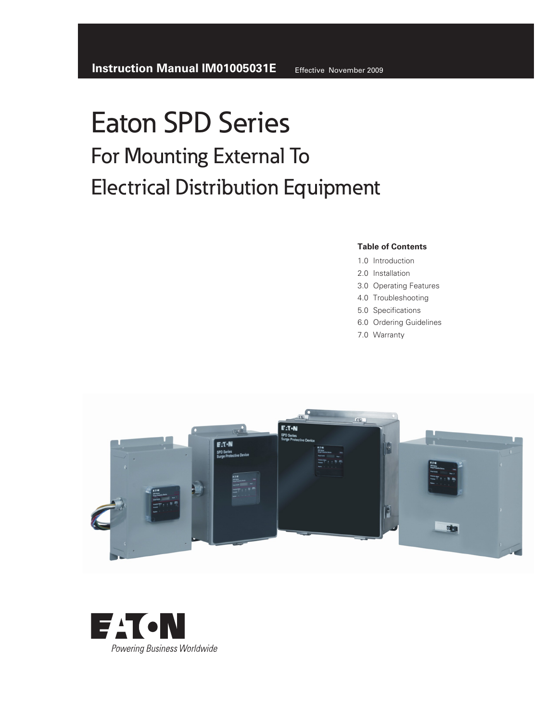### **Table of Contents**

- 1.0 Introduction
- 2.0 Installation
- 3.0 Operating Features
- 4.0 Troubleshooting
- 5.0 Specifications
- 6.0 Ordering Guidelines
- 7.0 Warranty



![](_page_0_Picture_11.jpeg)

Effective November 2009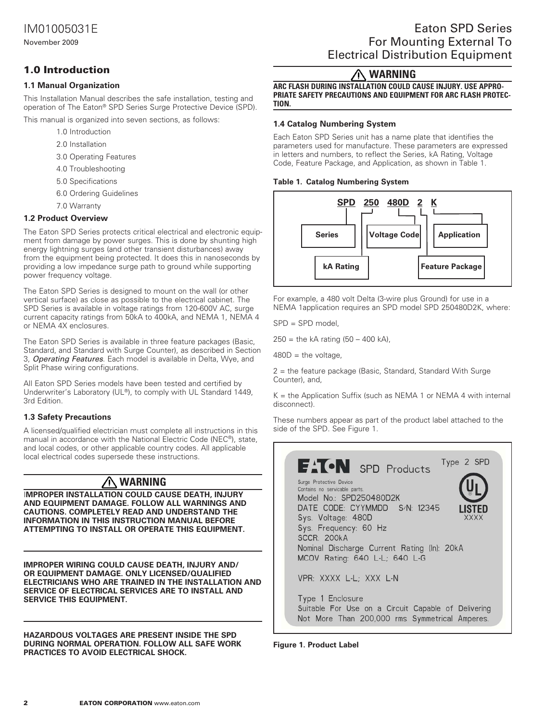### 1.0 Introduction

### **1.1 Manual Organization**

This Installation Manual describes the safe installation, testing and operation of The Eaton® SPD Series Surge Protective Device (SPD).

This manual is organized into seven sections, as follows:

- 1.0 Introduction
- 2.0 Installation
- 3.0 Operating Features
- 4.0 Troubleshooting
- 5.0 Specifications
- 6.0 Ordering Guidelines
- 7.0 Warranty

### **1.2 Product Overview**

The Eaton SPD Series protects critical electrical and electronic equipment from damage by power surges. This is done by shunting high energy lightning surges (and other transient disturbances) away from the equipment being protected. It does this in nanoseconds by providing a low impedance surge path to ground while supporting power frequency voltage.

The Eaton SPD Series is designed to mount on the wall (or other vertical surface) as close as possible to the electrical cabinet. The SPD Series is available in voltage ratings from 120-600V AC, surge current capacity ratings from 50kA to 400kA, and NEMA 1, NEMA 4 or NEMA 4X enclosures.

The Eaton SPD Series is available in three feature packages (Basic, Standard, and Standard with Surge Counter), as described in Section 3, *Operating Features*. Each model is available in Delta, Wye, and Split Phase wiring configurations.

All Eaton SPD Series models have been tested and certified by Underwriter's Laboratory (UL®), to comply with UL Standard 1449, 3rd Edition.

### **1.3 Safety Precautions**

A licensed/qualified electrician must complete all instructions in this manual in accordance with the National Electric Code (NEC®), state, and local codes, or other applicable country codes. All applicable local electrical codes supersede these instructions.

#### 八 **WARNING**

I**MPROPER INSTALLATION COULD CAUSE DEATH, INJURY AND EQUIPMENT DAMAGE. FOLLOW ALL WARNINGS AND CAUTIONS. COMPLETELY READ AND UNDERSTAND THE INFORMATION IN THIS INSTRUCTION MANUAL BEFORE ATTEMPTING TO INSTALL OR OPERATE THIS EQUIPMENT.**

**IMPROPER WIRING COULD CAUSE DEATH, INJURY AND/ OR EQUIPMENT DAMAGE. ONLY LICENSED/QUALIFIED ELECTRICIANS WHO ARE TRAINED IN THE INSTALLATION AND SERVICE OF ELECTRICAL SERVICES ARE TO INSTALL AND SERVICE THIS EQUIPMENT.**

**HAZARDOUS VOLTAGES ARE PRESENT INSIDE THE SPD DURING NORMAL OPERATION. FOLLOW ALL SAFE WORK PRACTICES TO AVOID ELECTRICAL SHOCK.** 

#### ヘ **WARNING**

**Arc flash during installation could cause injury. Use appropriate safety precautions and equipment for arc flash protection.** 

### **1.4 Catalog Numbering System**

Each Eaton SPD Series unit has a name plate that identifies the parameters used for manufacture. These parameters are expressed in letters and numbers, to reflect the Series, kA Rating, Voltage Code, Feature Package, and Application, as shown in Table 1.

#### **Table 1. Catalog Numbering System**

![](_page_1_Figure_30.jpeg)

For example, a 480 volt Delta (3-wire plus Ground) for use in a NEMA 1application requires an SPD model SPD 250480D2K, where:

SPD = SPD model,

 $250 =$  the kA rating  $(50 - 400 \text{ kA})$ ,

 $480D =$  the voltage,

2 = the feature package (Basic, Standard, Standard With Surge Counter), and,

 $K =$  the Application Suffix (such as NEMA 1 or NEMA 4 with internal disconnect).

These numbers appear as part of the product label attached to the side of the SPD. See Figure 1.

![](_page_1_Picture_38.jpeg)

#### **Figure 1. Product Label**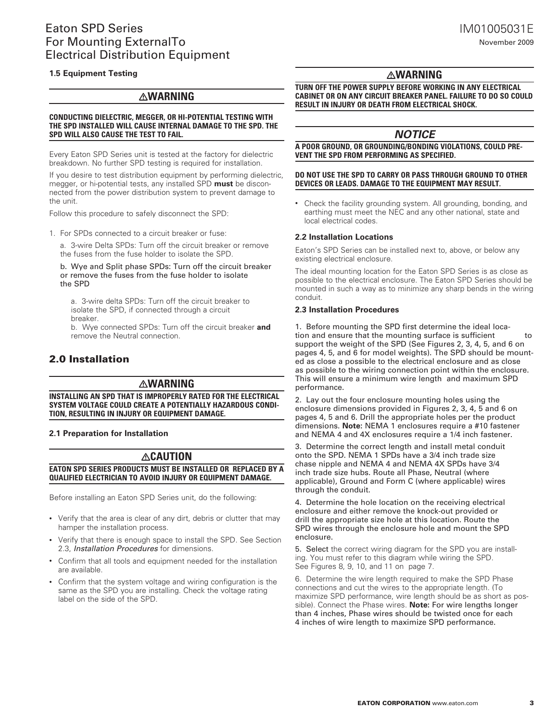#### **1.5 Equipment Testing**

### **WARNING**

#### **CONDUCTING DIELECTRIC, MEGGER, OR HI-POTENTIAL TESTING WITH THE SPD INSTALLED WILL CAUSE INTERNAL DAMAGE TO THE spd. THE SPD will also cause the test to fail.**

Every Eaton SPD Series unit is tested at the factory for dielectric breakdown. No further SPD testing is required for installation.

If you desire to test distribution equipment by performing dielectric, megger, or hi-potential tests, any installed SPD **must** be disconnected from the power distribution system to prevent damage to the unit.

Follow this procedure to safely disconnect the SPD:

1. For SPDs connected to a circuit breaker or fuse:

a. 3-wire Delta SPDs: Turn off the circuit breaker or remove the fuses from the fuse holder to isolate the SPD.

b. Wye and Split phase SPDs: Turn off the circuit breaker or remove the fuses from the fuse holder to isolate the SPD

a. 3-wire delta SPDs: Turn off the circuit breaker to isolate the SPD, if connected through a circuit breaker.

b. Wye connected SPDs: Turn off the circuit breaker **and** remove the Neutral connection.

### 2.0 Installation

### **warning**

**installing an spd that is improperly rated for the electrical system voltage could create a potentially hazardous condition, resulting in injury or equipment damage.** 

#### **2.1 Preparation for Installation**

### **caution**

#### **eaton spd series products must be installed or replaced by a qualified electrician to avoid injury or equipment damage.**

Before installing an Eaton SPD Series unit, do the following:

- Verify that the area is clear of any dirt, debris or clutter that may hamper the installation process.
- Verify that there is enough space to install the SPD. See Section 2.3, *Installation Procedures* for dimensions.
- Confirm that all tools and equipment needed for the installation are available.
- Confirm that the system voltage and wiring configuration is the same as the SPD you are installing. Check the voltage rating label on the side of the SPD.

### **warning**

**turn off the power supply before working in any electrical cabinet or on any circuit breaker panel. failure to do so could result in injury or death from electrical shock.** 

### *notice*

**a poor ground, or grounding/bonding violations, could prevent the spd from performing as specified.** 

#### **do not use the spd to carry or pass through ground to other devices or leads. Damage to the equipment may result.**

• Check the facility grounding system. All grounding, bonding, and earthing must meet the NEC and any other national, state and local electrical codes.

#### **2.2 Installation Locations**

Eaton's SPD Series can be installed next to, above, or below any existing electrical enclosure.

The ideal mounting location for the Eaton SPD Series is as close as possible to the electrical enclosure. The Eaton SPD Series should be mounted in such a way as to minimize any sharp bends in the wiring conduit.

#### **2.3 Installation Procedures**

1. Before mounting the SPD first determine the ideal location and ensure that the mounting surface is sufficient to support the weight of the SPD (See Figures 2, 3, 4, 5, and 6 on pages 4, 5, and 6 for model weights). The SPD should be mounted as close a possible to the electrical enclosure and as close as possible to the wiring connection point within the enclosure. This will ensure a minimum wire length and maximum SPD performance.

2. Lay out the four enclosure mounting holes using the enclosure dimensions provided in Figures 2, 3, 4, 5 and 6 on pages 4, 5 and 6. Drill the appropriate holes per the product dimensions. **Note:** NEMA 1 enclosures require a #10 fastener and NEMA 4 and 4X enclosures require a 1/4 inch fastener.

3. Determine the correct length and install metal conduit onto the SPD. NEMA 1 SPDs have a 3/4 inch trade size chase nipple and NEMA 4 and NEMA 4X SPDs have 3/4 inch trade size hubs. Route all Phase, Neutral (where applicable), Ground and Form C (where applicable) wires through the conduit.

4. Determine the hole location on the receiving electrical enclosure and either remove the knock-out provided or drill the appropriate size hole at this location. Route the SPD wires through the enclosure hole and mount the SPD enclosure.

5. Select the correct wiring diagram for the SPD you are installing. You must refer to this diagram while wiring the SPD. See Figures 8, 9, 10, and 11 on page 7.

6. Determine the wire length required to make the SPD Phase connections and cut the wires to the appropriate length. (To maximize SPD performance, wire length should be as short as possible). Connect the Phase wires. **Note:** For wire lengths longer than 4 inches, Phase wires should be twisted once for each 4 inches of wire length to maximize SPD performance.

November 2009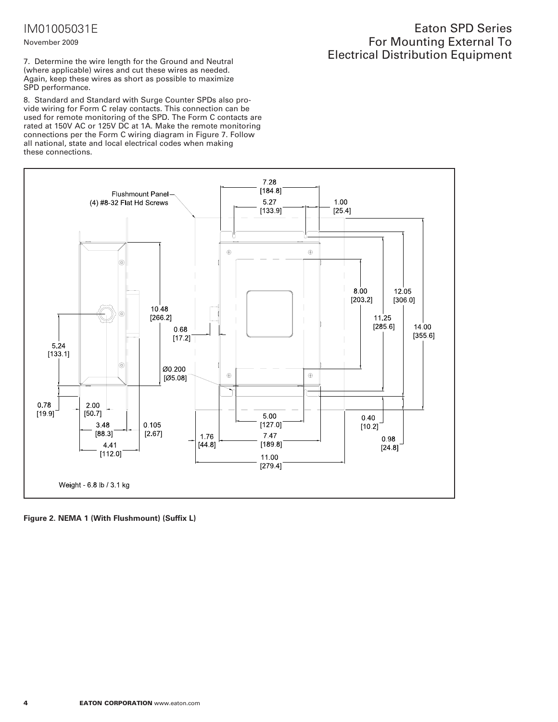# IM01005031E

#### November 2009

7. Determine the wire length for the Ground and Neutral (where applicable) wires and cut these wires as needed. Again, keep these wires as short as possible to maximize SPD performance.

8. Standard and Standard with Surge Counter SPDs also provide wiring for Form C relay contacts. This connection can be used for remote monitoring of the SPD. The Form C contacts are rated at 150V AC or 125V DC at 1A. Make the remote monitoring connections per the Form C wiring diagram in Figure 7. Follow all national, state and local electrical codes when making these connections.

### Eaton SPD Series For Mounting External To Electrical Distribution Equipment

![](_page_3_Figure_5.jpeg)

**Figure 2. NEMA 1 (With Flushmount) (Suffix L)**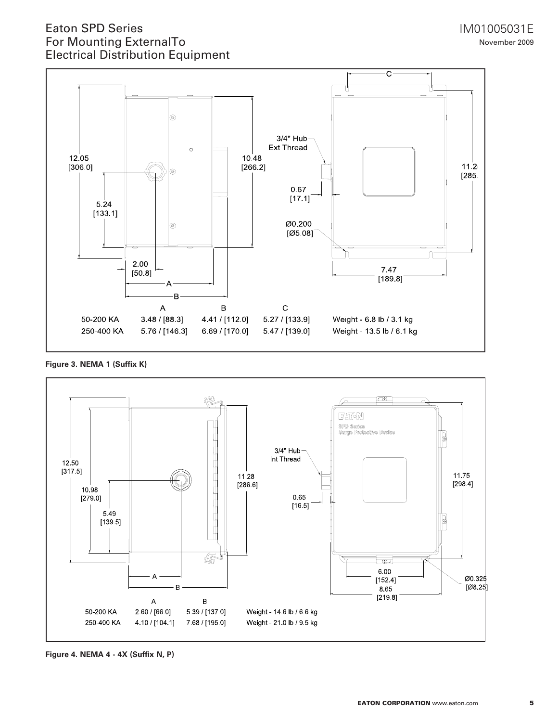![](_page_4_Figure_2.jpeg)

**Figure 3. NEMA 1 (Suffix K)**

![](_page_4_Figure_4.jpeg)

**Figure 4. NEMA 4 - 4X (Suffix N, P)**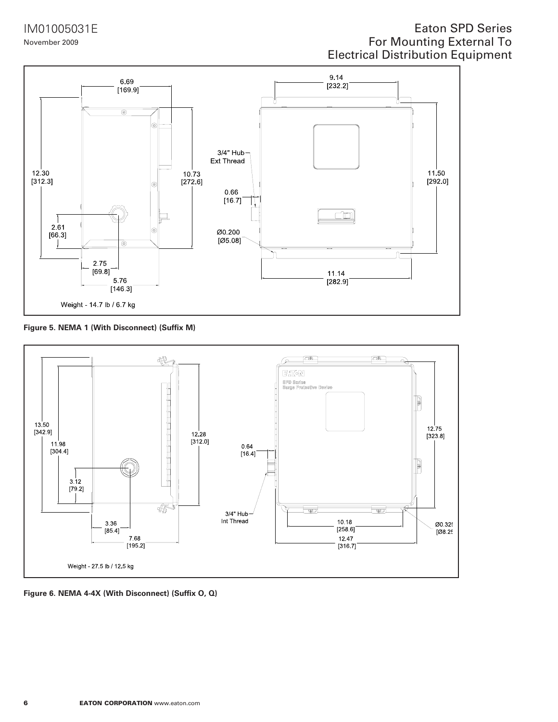IM01005031E November 2009

# Eaton SPD Series For Mounting External To Electrical Distribution Equipment

![](_page_5_Figure_2.jpeg)

**Figure 5. NEMA 1 (With Disconnect) (Suffix M)**

![](_page_5_Figure_4.jpeg)

**Figure 6. NEMA 4-4X (With Disconnect) (Suffix O, Q)**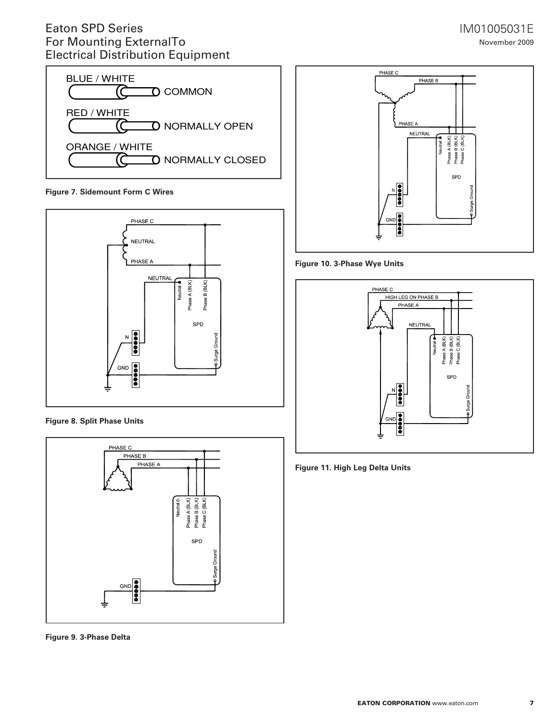![](_page_6_Figure_1.jpeg)

**Figure 7. Sidemount Form C Wires** 

![](_page_6_Figure_3.jpeg)

**Figure 8. Split Phase Units**

![](_page_6_Figure_5.jpeg)

**Figure 9. 3-Phase Delta** 

### IM01005031E November 2009

![](_page_6_Figure_8.jpeg)

**Figure 10. 3-Phase Wye Units**

![](_page_6_Figure_10.jpeg)

**Figure 11. High Leg Delta Units**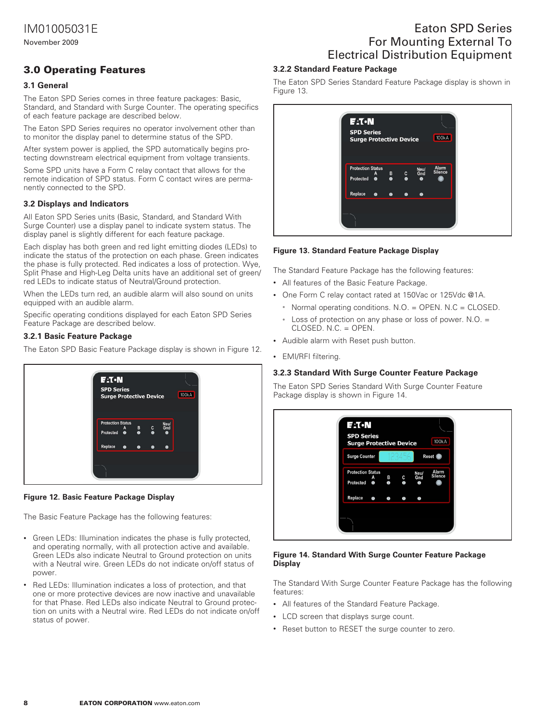November 2009

### 3.0 Operating Features

### **3.1 General**

The Eaton SPD Series comes in three feature packages: Basic, Standard, and Standard with Surge Counter. The operating specifics of each feature package are described below.

The Eaton SPD Series requires no operator involvement other than to monitor the display panel to determine status of the SPD.

After system power is applied, the SPD automatically begins protecting downstream electrical equipment from voltage transients.

Some SPD units have a Form C relay contact that allows for the remote indication of SPD status. Form C contact wires are permanently connected to the SPD.

### **3.2 Displays and Indicators**

All Eaton SPD Series units (Basic, Standard, and Standard With Surge Counter) use a display panel to indicate system status. The display panel is slightly different for each feature package.

Each display has both green and red light emitting diodes (LEDs) to indicate the status of the protection on each phase. Green indicates the phase is fully protected. Red indicates a loss of protection. Wye, Split Phase and High-Leg Delta units have an additional set of green/ red LEDs to indicate status of Neutral/Ground protection.

When the LEDs turn red, an audible alarm will also sound on units equipped with an audible alarm.

Specific operating conditions displayed for each Eaton SPD Series Feature Package are described below.

#### **3.2.1 Basic Feature Package**

The Eaton SPD Basic Feature Package display is shown in Figure 12.

![](_page_7_Picture_15.jpeg)

#### **Figure 12. Basic Feature Package Display**

The Basic Feature Package has the following features:

- Green LEDs: Illumination indicates the phase is fully protected, and operating normally, with all protection active and available. Green LEDs also indicate Neutral to Ground protection on units with a Neutral wire. Green LEDs do not indicate on/off status of power.
- Red LEDs: Illumination indicates a loss of protection, and that one or more protective devices are now inactive and unavailable for that Phase. Red LEDs also indicate Neutral to Ground protection on units with a Neutral wire. Red LEDs do not indicate on/off status of power.

# Eaton SPD Series For Mounting External To Electrical Distribution Equipment

### **3.2.2 Standard Feature Package**

The Eaton SPD Series Standard Feature Package display is shown in Figure 13.

![](_page_7_Picture_23.jpeg)

#### **Figure 13. Standard Feature Package Display**

The Standard Feature Package has the following features:

- All features of the Basic Feature Package.
- One Form C relay contact rated at 150Vac or 125Vdc @1A.
	- • Normal operating conditions. N.O. = OPEN. N.C = CLOSED.
	- Loss of protection on any phase or loss of power. N.O. =  $CLOSED. N.C. = OPEN.$
- • Audible alarm with Reset push button.
- EMI/RFI filtering.

### **3.2.3 Standard With Surge Counter Feature Package**

The Eaton SPD Series Standard With Surge Counter Feature Package display is shown in Figure 14.

![](_page_7_Figure_34.jpeg)

#### **Figure 14. Standard With Surge Counter Feature Package Display**

The Standard With Surge Counter Feature Package has the following features:

- All features of the Standard Feature Package.
- • LCD screen that displays surge count.
- Reset button to RESET the surge counter to zero.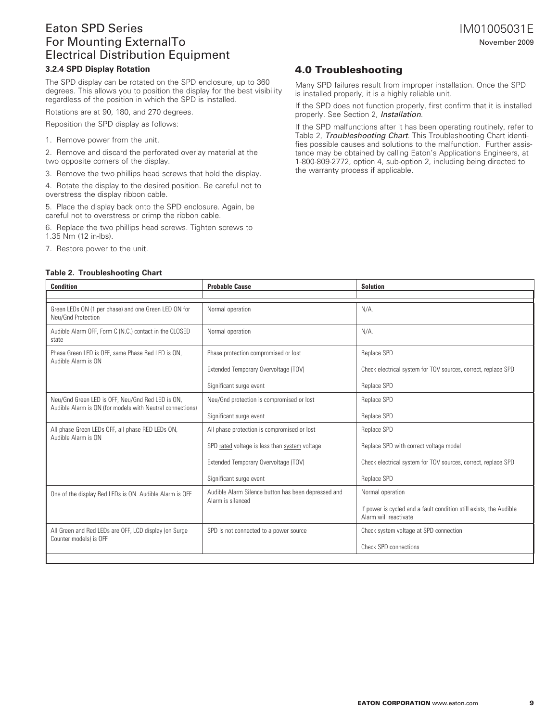#### **3.2.4 SPD Display Rotation**

The SPD display can be rotated on the SPD enclosure, up to 360 degrees. This allows you to position the display for the best visibility regardless of the position in which the SPD is installed.

Rotations are at 90, 180, and 270 degrees.

Reposition the SPD display as follows:

1. Remove power from the unit.

2. Remove and discard the perforated overlay material at the two opposite corners of the display.

3. Remove the two phillips head screws that hold the display.

4. Rotate the display to the desired position. Be careful not to overstress the display ribbon cable.

5. Place the display back onto the SPD enclosure. Again, be careful not to overstress or crimp the ribbon cable.

6. Replace the two phillips head screws. Tighten screws to 1.35 Nm (12 in-lbs).

7. Restore power to the unit.

#### **Table 2. Troubleshooting Chart**

### 4.0 Troubleshooting

Many SPD failures result from improper installation. Once the SPD is installed properly, it is a highly reliable unit.

If the SPD does not function properly, first confirm that it is installed properly. See Section 2, *Installation*.

If the SPD malfunctions after it has been operating routinely, refer to Table 2, *Troubleshooting Chart*. This Troubleshooting Chart identifies possible causes and solutions to the malfunction. Further assistance may be obtained by calling Eaton's Applications Engineers, at 1-800-809-2772, option 4, sub-option 2, including being directed to the warranty process if applicable.

| <b>Condition</b>                                                                                              | <b>Probable Cause</b>                                                    | <b>Solution</b>                                                                             |
|---------------------------------------------------------------------------------------------------------------|--------------------------------------------------------------------------|---------------------------------------------------------------------------------------------|
|                                                                                                               |                                                                          |                                                                                             |
| Green LEDs ON (1 per phase) and one Green LED ON for<br>Neu/Gnd Protection                                    | Normal operation                                                         | $N/A$ .                                                                                     |
| Audible Alarm OFF, Form C (N.C.) contact in the CLOSED<br>state                                               | Normal operation                                                         | $N/A$ .                                                                                     |
| Phase Green LED is OFF, same Phase Red LED is ON,<br>Audible Alarm is ON                                      | Phase protection compromised or lost                                     | Replace SPD                                                                                 |
|                                                                                                               | Extended Temporary Overvoltage (TOV)                                     | Check electrical system for TOV sources, correct, replace SPD                               |
|                                                                                                               | Significant surge event                                                  | Replace SPD                                                                                 |
| Neu/Gnd Green LED is OFF, Neu/Gnd Red LED is ON,<br>Audible Alarm is ON (for models with Neutral connections) | Neu/Gnd protection is compromised or lost                                | Replace SPD                                                                                 |
|                                                                                                               | Significant surge event                                                  | Replace SPD                                                                                 |
| All phase Green LEDs OFF, all phase RED LEDs ON,<br>Audible Alarm is ON                                       | All phase protection is compromised or lost                              | Replace SPD                                                                                 |
|                                                                                                               | SPD rated voltage is less than system voltage                            | Replace SPD with correct voltage model                                                      |
|                                                                                                               | Extended Temporary Overvoltage (TOV)                                     | Check electrical system for TOV sources, correct, replace SPD                               |
|                                                                                                               | Significant surge event                                                  | Replace SPD                                                                                 |
| One of the display Red LEDs is ON. Audible Alarm is OFF                                                       | Audible Alarm Silence button has been depressed and<br>Alarm is silenced | Normal operation                                                                            |
|                                                                                                               |                                                                          | If power is cycled and a fault condition still exists, the Audible<br>Alarm will reactivate |
| All Green and Red LEDs are OFF, LCD display (on Surge<br>Counter models) is OFF                               | SPD is not connected to a power source                                   | Check system voltage at SPD connection                                                      |
|                                                                                                               |                                                                          | <b>Check SPD connections</b>                                                                |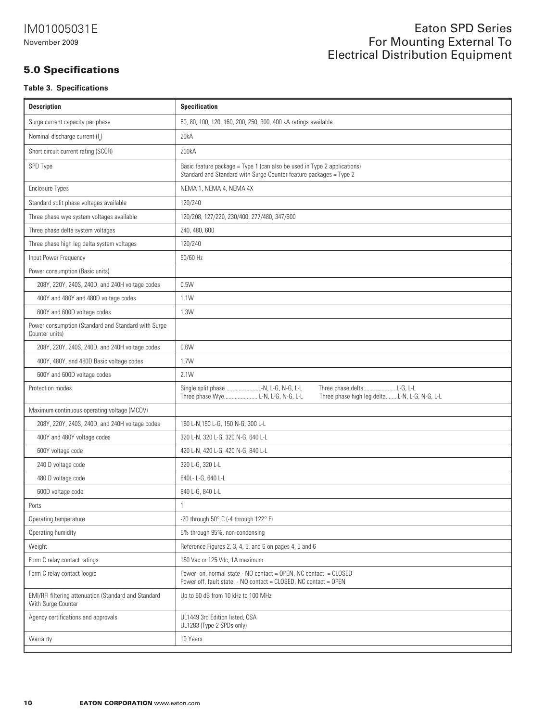### 5.0 Specifications

### **Table 3. Specifications**

| <b>Description</b>                                                         | <b>Specification</b>                                                                                                                                     |  |
|----------------------------------------------------------------------------|----------------------------------------------------------------------------------------------------------------------------------------------------------|--|
| Surge current capacity per phase                                           | 50, 80, 100, 120, 160, 200, 250, 300, 400 kA ratings available                                                                                           |  |
| Nominal discharge current (I_)                                             | 20kA                                                                                                                                                     |  |
| Short circuit current rating (SCCR)                                        | 200kA                                                                                                                                                    |  |
| SPD Type                                                                   | Basic feature package = Type 1 (can also be used in Type 2 applications)<br>Standard and Standard with Surge Counter feature packages = Type 2           |  |
| <b>Enclosure Types</b>                                                     | NEMA 1, NEMA 4, NEMA 4X                                                                                                                                  |  |
| Standard split phase voltages available                                    | 120/240                                                                                                                                                  |  |
| Three phase wye system voltages available                                  | 120/208, 127/220, 230/400, 277/480, 347/600                                                                                                              |  |
| Three phase delta system voltages                                          | 240, 480, 600                                                                                                                                            |  |
| Three phase high leg delta system voltages                                 | 120/240                                                                                                                                                  |  |
| Input Power Frequency                                                      | 50/60 Hz                                                                                                                                                 |  |
| Power consumption (Basic units)                                            |                                                                                                                                                          |  |
| 208Y, 220Y, 240S, 240D, and 240H voltage codes                             | 0.5W                                                                                                                                                     |  |
| 400Y and 480Y and 480D voltage codes                                       | 1.1W                                                                                                                                                     |  |
| 600Y and 600D voltage codes                                                | 1.3W                                                                                                                                                     |  |
| Power consumption (Standard and Standard with Surge<br>Counter units)      |                                                                                                                                                          |  |
| 208Y, 220Y, 240S, 240D, and 240H voltage codes                             | 0.6W                                                                                                                                                     |  |
| 400Y, 480Y, and 480D Basic voltage codes                                   | 1.7W                                                                                                                                                     |  |
| 600Y and 600D voltage codes                                                | 2.1W                                                                                                                                                     |  |
| Protection modes                                                           | Single split phase L-N, L-G, N-G, L-L<br>Three phase deltaL-G, L-L<br>Three phase Wye L-N, L-G, N-G, L-L<br>Three phase high leg deltaL-N, L-G, N-G, L-L |  |
| Maximum continuous operating voltage (MCOV)                                |                                                                                                                                                          |  |
| 208Y, 220Y, 240S, 240D, and 240H voltage codes                             | 150 L-N,150 L-G, 150 N-G, 300 L-L                                                                                                                        |  |
| 400Y and 480Y voltage codes                                                | 320 L-N, 320 L-G, 320 N-G, 640 L-L                                                                                                                       |  |
| 600Y voltage code                                                          | 420 L-N, 420 L-G, 420 N-G, 840 L-L                                                                                                                       |  |
| 240 D voltage code                                                         | 320 L-G, 320 L-L                                                                                                                                         |  |
| 480 D voltage code                                                         | 640L-L-G, 640 L-L                                                                                                                                        |  |
| 600D voltage code                                                          | 840 L-G, 840 L-L                                                                                                                                         |  |
| Ports                                                                      | $\mathbf{1}$                                                                                                                                             |  |
| Operating temperature                                                      | -20 through 50° C (-4 through 122° F)                                                                                                                    |  |
| Operating humidity                                                         | 5% through 95%, non-condensing                                                                                                                           |  |
| Weight                                                                     | Reference Figures 2, 3, 4, 5, and 6 on pages 4, 5 and 6                                                                                                  |  |
| Form C relay contact ratings                                               | 150 Vac or 125 Vdc, 1A maximum                                                                                                                           |  |
| Form C relay contact loogic                                                | Power on, normal state - NO contact = OPEN, NC contact = CLOSED<br>Power off, fault state, - NO contact = CLOSED, NC contact = OPEN                      |  |
| EMI/RFI filtering attenuation (Standard and Standard<br>With Surge Counter | Up to 50 dB from 10 kHz to 100 MHz                                                                                                                       |  |
| Agency certifications and approvals                                        | UL1449 3rd Edition listed, CSA<br>UL1283 (Type 2 SPDs only)                                                                                              |  |
| Warranty                                                                   | 10 Years                                                                                                                                                 |  |
|                                                                            |                                                                                                                                                          |  |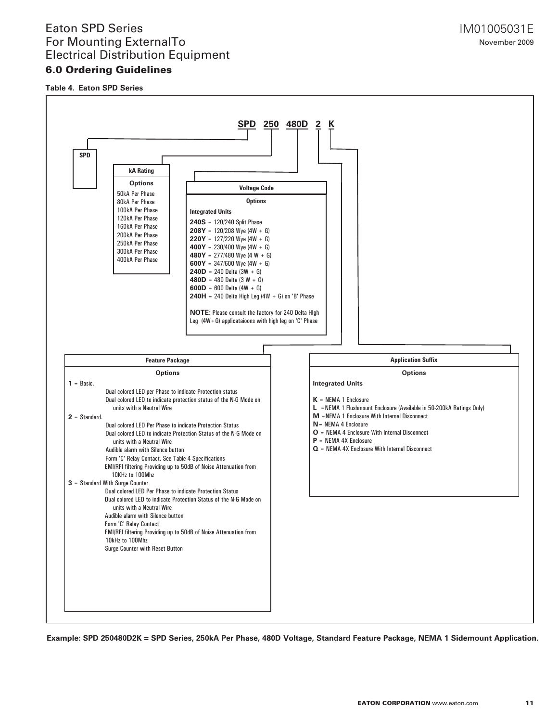### 6.0 Ordering Guidelines

**Table 4. Eaton SPD Series**

![](_page_10_Figure_3.jpeg)

**Example: SPD 250480D2K = SPD Series, 250kA Per Phase, 480D Voltage, Standard Feature Package, NEMA 1 Sidemount Application.**